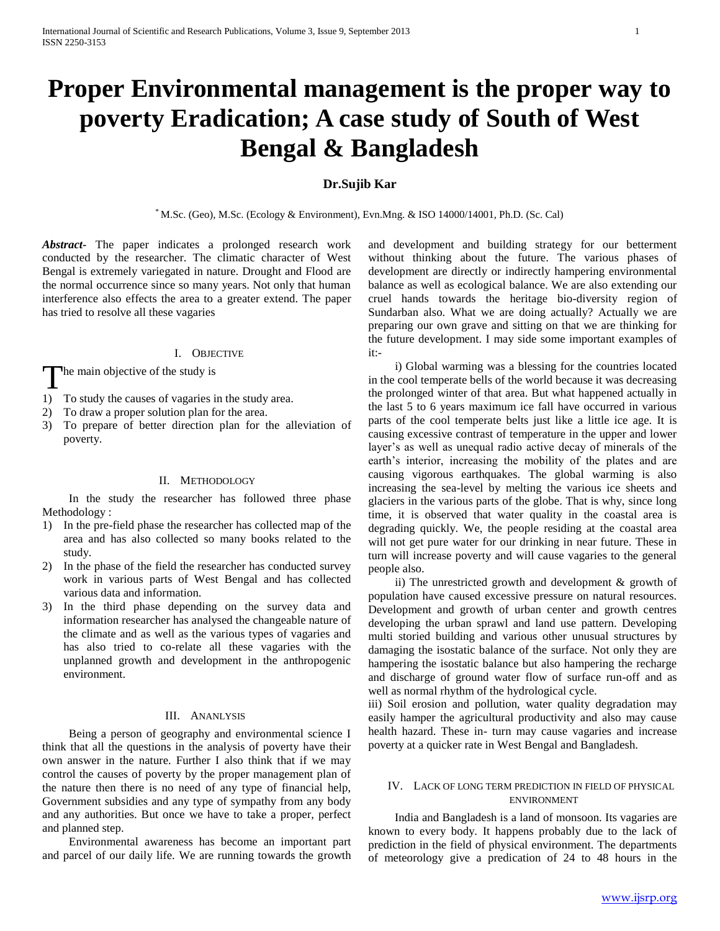# **Proper Environmental management is the proper way to poverty Eradication; A case study of South of West Bengal & Bangladesh**

# **Dr.Sujib Kar**

\* M.Sc. (Geo), M.Sc. (Ecology & Environment), Evn.Mng. & ISO 14000/14001, Ph.D. (Sc. Cal)

*Abstract***-** The paper indicates a prolonged research work conducted by the researcher. The climatic character of West Bengal is extremely variegated in nature. Drought and Flood are the normal occurrence since so many years. Not only that human interference also effects the area to a greater extend. The paper has tried to resolve all these vagaries

#### I. OBJECTIVE

he main objective of the study is T

- 1) To study the causes of vagaries in the study area.
- 2) To draw a proper solution plan for the area.
- 3) To prepare of better direction plan for the alleviation of poverty.

#### II. METHODOLOGY

 In the study the researcher has followed three phase Methodology :

- 1) In the pre-field phase the researcher has collected map of the area and has also collected so many books related to the study.
- 2) In the phase of the field the researcher has conducted survey work in various parts of West Bengal and has collected various data and information.
- 3) In the third phase depending on the survey data and information researcher has analysed the changeable nature of the climate and as well as the various types of vagaries and has also tried to co-relate all these vagaries with the unplanned growth and development in the anthropogenic environment.

### III. ANANLYSIS

 Being a person of geography and environmental science I think that all the questions in the analysis of poverty have their own answer in the nature. Further I also think that if we may control the causes of poverty by the proper management plan of the nature then there is no need of any type of financial help, Government subsidies and any type of sympathy from any body and any authorities. But once we have to take a proper, perfect and planned step.

 Environmental awareness has become an important part and parcel of our daily life. We are running towards the growth and development and building strategy for our betterment without thinking about the future. The various phases of development are directly or indirectly hampering environmental balance as well as ecological balance. We are also extending our cruel hands towards the heritage bio-diversity region of Sundarban also. What we are doing actually? Actually we are preparing our own grave and sitting on that we are thinking for the future development. I may side some important examples of it:-

 i) Global warming was a blessing for the countries located in the cool temperate bells of the world because it was decreasing the prolonged winter of that area. But what happened actually in the last 5 to 6 years maximum ice fall have occurred in various parts of the cool temperate belts just like a little ice age. It is causing excessive contrast of temperature in the upper and lower layer's as well as unequal radio active decay of minerals of the earth's interior, increasing the mobility of the plates and are causing vigorous earthquakes. The global warming is also increasing the sea-level by melting the various ice sheets and glaciers in the various parts of the globe. That is why, since long time, it is observed that water quality in the coastal area is degrading quickly. We, the people residing at the coastal area will not get pure water for our drinking in near future. These in turn will increase poverty and will cause vagaries to the general people also.

 ii) The unrestricted growth and development & growth of population have caused excessive pressure on natural resources. Development and growth of urban center and growth centres developing the urban sprawl and land use pattern. Developing multi storied building and various other unusual structures by damaging the isostatic balance of the surface. Not only they are hampering the isostatic balance but also hampering the recharge and discharge of ground water flow of surface run-off and as well as normal rhythm of the hydrological cycle.

iii) Soil erosion and pollution, water quality degradation may easily hamper the agricultural productivity and also may cause health hazard. These in- turn may cause vagaries and increase poverty at a quicker rate in West Bengal and Bangladesh.

## IV. LACK OF LONG TERM PREDICTION IN FIELD OF PHYSICAL ENVIRONMENT

 India and Bangladesh is a land of monsoon. Its vagaries are known to every body. It happens probably due to the lack of prediction in the field of physical environment. The departments of meteorology give a predication of 24 to 48 hours in the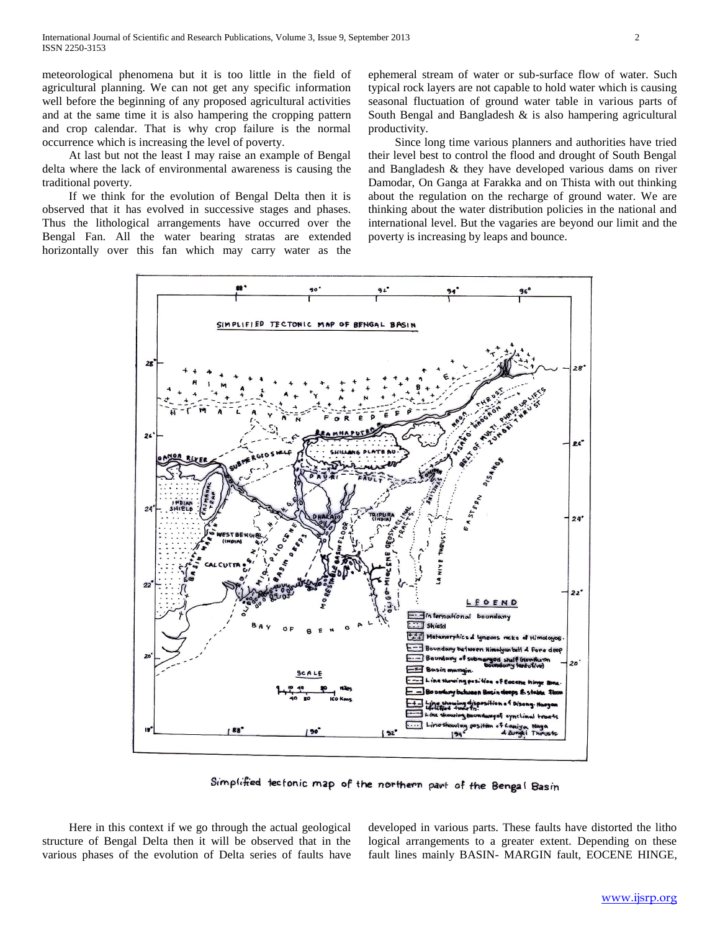meteorological phenomena but it is too little in the field of agricultural planning. We can not get any specific information well before the beginning of any proposed agricultural activities and at the same time it is also hampering the cropping pattern and crop calendar. That is why crop failure is the normal occurrence which is increasing the level of poverty.

 At last but not the least I may raise an example of Bengal delta where the lack of environmental awareness is causing the traditional poverty.

 If we think for the evolution of Bengal Delta then it is observed that it has evolved in successive stages and phases. Thus the lithological arrangements have occurred over the Bengal Fan. All the water bearing stratas are extended horizontally over this fan which may carry water as the

ephemeral stream of water or sub-surface flow of water. Such typical rock layers are not capable to hold water which is causing seasonal fluctuation of ground water table in various parts of South Bengal and Bangladesh  $\&$  is also hampering agricultural productivity.

 Since long time various planners and authorities have tried their level best to control the flood and drought of South Bengal and Bangladesh & they have developed various dams on river Damodar, On Ganga at Farakka and on Thista with out thinking about the regulation on the recharge of ground water. We are thinking about the water distribution policies in the national and international level. But the vagaries are beyond our limit and the poverty is increasing by leaps and bounce.



Simplified tectonic map of the northern part of the Bengal Basin

 Here in this context if we go through the actual geological structure of Bengal Delta then it will be observed that in the various phases of the evolution of Delta series of faults have

developed in various parts. These faults have distorted the litho logical arrangements to a greater extent. Depending on these fault lines mainly BASIN- MARGIN fault, EOCENE HINGE,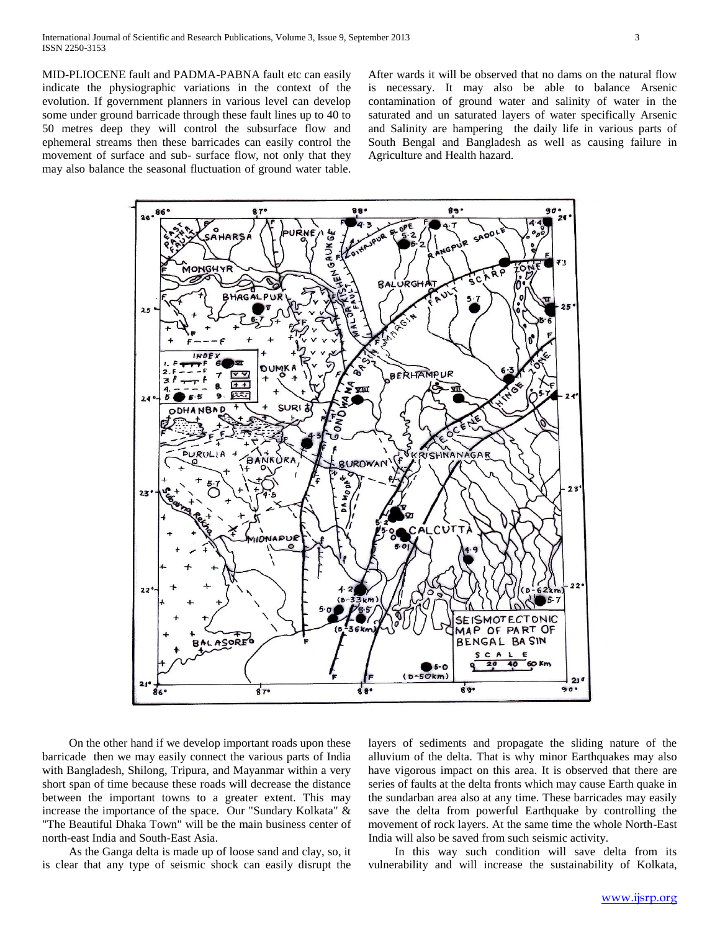MID-PLIOCENE fault and PADMA-PABNA fault etc can easily indicate the physiographic variations in the context of the evolution. If government planners in various level can develop some under ground barricade through these fault lines up to 40 to 50 metres deep they will control the subsurface flow and ephemeral streams then these barricades can easily control the movement of surface and sub- surface flow, not only that they may also balance the seasonal fluctuation of ground water table.

After wards it will be observed that no dams on the natural flow is necessary. It may also be able to balance Arsenic contamination of ground water and salinity of water in the saturated and un saturated layers of water specifically Arsenic and Salinity are hampering the daily life in various parts of South Bengal and Bangladesh as well as causing failure in Agriculture and Health hazard.



 On the other hand if we develop important roads upon these barricade then we may easily connect the various parts of India with Bangladesh, Shilong, Tripura, and Mayanmar within a very short span of time because these roads will decrease the distance between the important towns to a greater extent. This may increase the importance of the space. Our "Sundary Kolkata" & "The Beautiful Dhaka Town" will be the main business center of north-east India and South-East Asia.

 As the Ganga delta is made up of loose sand and clay, so, it is clear that any type of seismic shock can easily disrupt the

layers of sediments and propagate the sliding nature of the alluvium of the delta. That is why minor Earthquakes may also have vigorous impact on this area. It is observed that there are series of faults at the delta fronts which may cause Earth quake in the sundarban area also at any time. These barricades may easily save the delta from powerful Earthquake by controlling the movement of rock layers. At the same time the whole North-East India will also be saved from such seismic activity.

 In this way such condition will save delta from its vulnerability and will increase the sustainability of Kolkata,